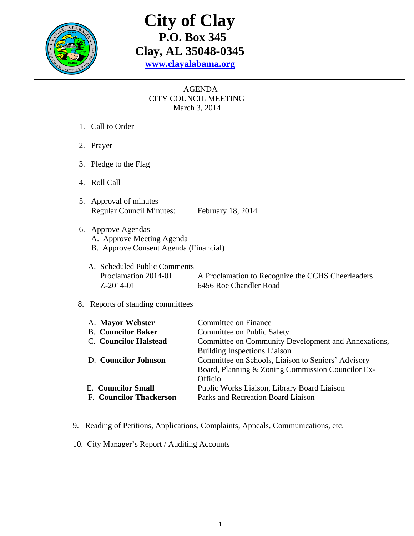

# **City of Clay P.O. Box 345 Clay, AL 35048-0345 [www.clayalabama.org](http://www.clayalabama.org/)**

## AGENDA CITY COUNCIL MEETING March 3, 2014

- 1. Call to Order
- 2. Prayer
- 3. Pledge to the Flag
- 4. Roll Call
- 5. Approval of minutes Regular Council Minutes: February 18, 2014
- 6. Approve Agendas
	- A. Approve Meeting Agenda
	- B. Approve Consent Agenda (Financial)
	- A. Scheduled Public Comments Proclamation 2014-01 A Proclamation to Recognize the CCHS Cheerleaders Z-2014-01 6456 Roe Chandler Road

### 8. Reports of standing committees

| A. Mayor Webster               | Committee on Finance                                |
|--------------------------------|-----------------------------------------------------|
| <b>B.</b> Councilor Baker      | Committee on Public Safety                          |
| C. Councilor Halstead          | Committee on Community Development and Annexations, |
|                                | <b>Building Inspections Liaison</b>                 |
| D. Councilor Johnson           | Committee on Schools, Liaison to Seniors' Advisory  |
|                                | Board, Planning & Zoning Commission Councilor Ex-   |
|                                | Officio                                             |
| <b>E.</b> Councilor Small      | Public Works Liaison, Library Board Liaison         |
| <b>F. Councilor Thackerson</b> | Parks and Recreation Board Liaison                  |
|                                |                                                     |

- 9. Reading of Petitions, Applications, Complaints, Appeals, Communications, etc.
- 10. City Manager's Report / Auditing Accounts